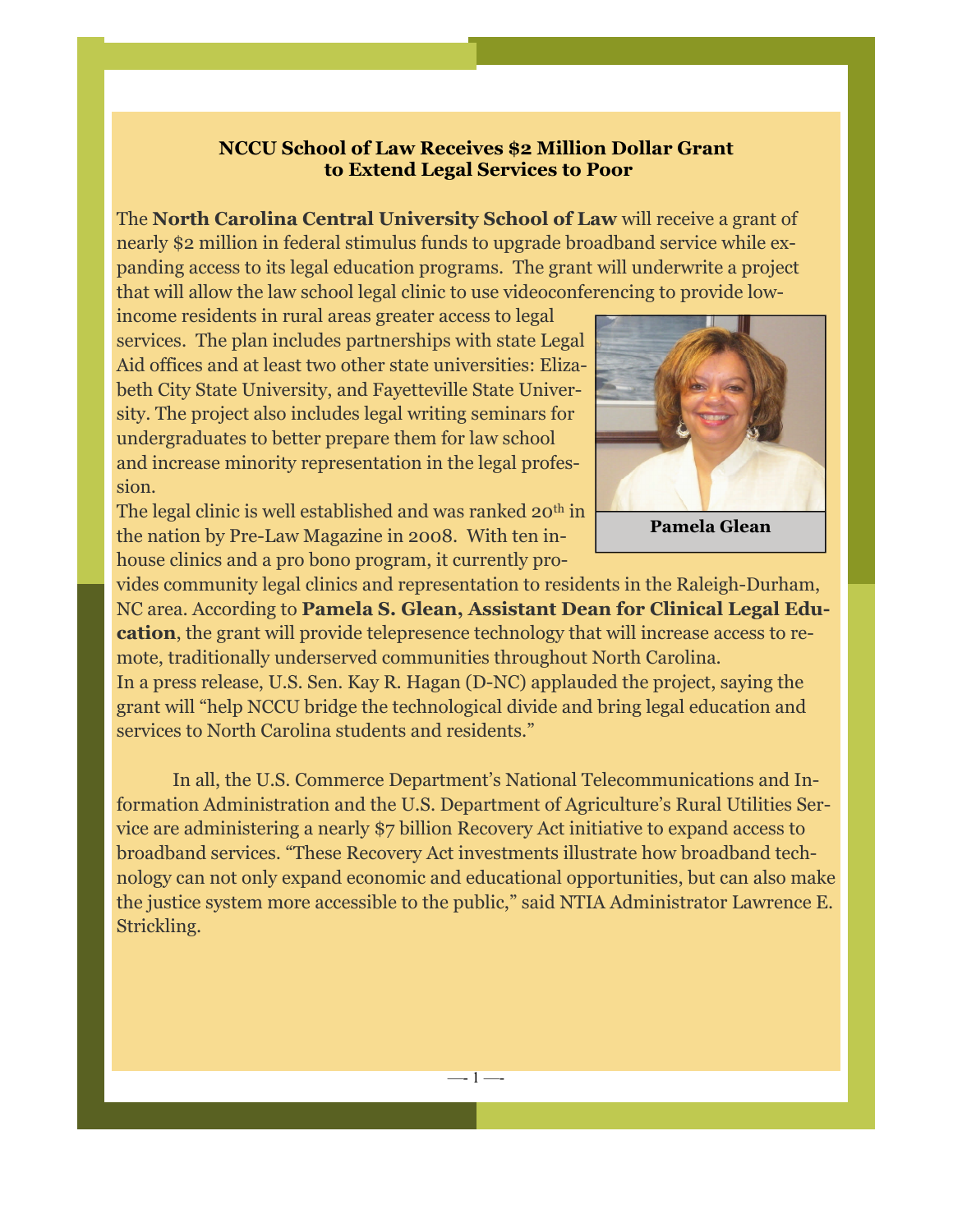## **NCCU School of Law Receives \$2 Million Dollar Grant to Extend Legal Services to Poor**

The **North Carolina Central University School of Law** will receive a grant of nearly \$2 million in federal stimulus funds to upgrade broadband service while expanding access to its legal education programs. The grant will underwrite a project that will allow the law school legal clinic to use videoconferencing to provide low-

**Later Law City State University, and Fayetteville State Univer**sity. The project also includes legal writing seminars for undergraduates to better prepare them for law school and increase minority representation in the legal profes- $\lim_{M\to\infty}$ income residents in rural areas greater access to legal services. The plan includes partnerships with state Legal Aid offices and at least two other state universities: Elizasion.

The legal clinic is well established and was ranked  $20^{th}$  in conduct an evaluation of educational opportunities and services for military-affiliated the nation by Pre-Law Magazine in 2008. With ten inhouse clinics and a pro bono program, it currently pro-



vides community legal clinics and representation to residents in the Raleigh-Durham, NC area. According to Pamela S. Glean, Assistant Dean for Clinical Legal Edu**cation**, the grant will provide telepresence technology that will increase access to remote, traditionally underserved communities throughout North Carolina.

In a press release, U.S. Sen. Kay R. Hagan (D-NC) applauded the project, saying the grant will "help NCCU bridge the technological divide and bring legal education and services to North Carolina students and residents."

In all, the U.S. Commerce Department's National Telecommunications and Information Administration and the U.S. Department of Agriculture's Rural Utilities Service are administering a nearly \$7 billion Recovery Act initiative to expand access to broadband services. "These Recovery Act investments illustrate how broadband technology can not only expand economic and educational opportunities, but can also make the justice system more accessible to the public," said NTIA Administrator Lawrence E. Strickling.